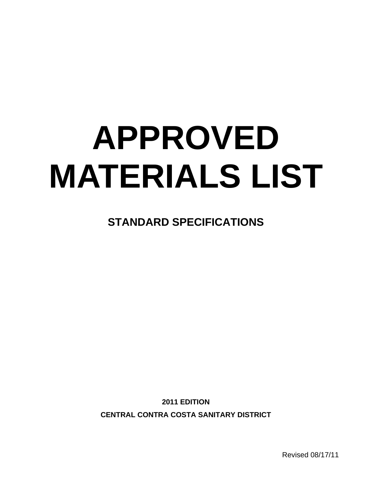# **APPROVED MATERIALS LIST**

**STANDARD SPECIFICATIONS** 

**2011 EDITION CENTRAL CONTRA COSTA SANITARY DISTRICT** 

Revised 08/17/11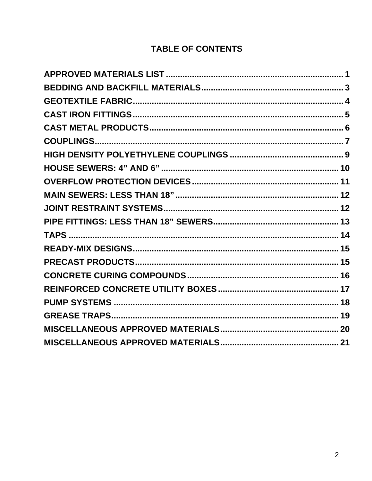#### **TABLE OF CONTENTS**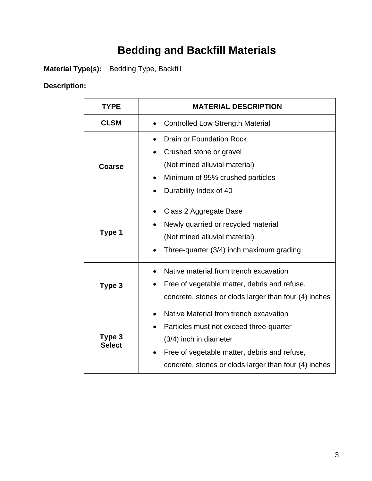## **Bedding and Backfill Materials**

**Material Type(s):** Bedding Type, Backfill

#### **Description:**

| <b>TYPE</b>             | <b>MATERIAL DESCRIPTION</b>                                                                                                                                                                                                       |  |
|-------------------------|-----------------------------------------------------------------------------------------------------------------------------------------------------------------------------------------------------------------------------------|--|
| <b>CLSM</b>             | <b>Controlled Low Strength Material</b><br>$\bullet$                                                                                                                                                                              |  |
| Coarse                  | <b>Drain or Foundation Rock</b><br>Crushed stone or gravel<br>$\bullet$<br>(Not mined alluvial material)<br>Minimum of 95% crushed particles<br>Durability Index of 40                                                            |  |
| Type 1                  | Class 2 Aggregate Base<br>Newly quarried or recycled material<br>(Not mined alluvial material)<br>Three-quarter (3/4) inch maximum grading                                                                                        |  |
| Type 3                  | Native material from trench excavation<br>Free of vegetable matter, debris and refuse,<br>concrete, stones or clods larger than four (4) inches                                                                                   |  |
| Type 3<br><b>Select</b> | Native Material from trench excavation<br>$\bullet$<br>Particles must not exceed three-quarter<br>(3/4) inch in diameter<br>Free of vegetable matter, debris and refuse,<br>concrete, stones or clods larger than four (4) inches |  |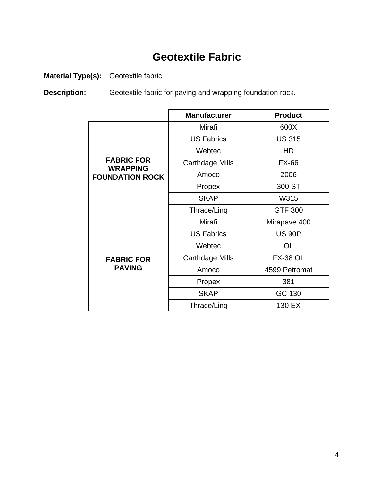## **Geotextile Fabric**

**Material Type(s):** Geotextile fabric

**Description:** Geotextile fabric for paving and wrapping foundation rock.

|                                      | <b>Manufacturer</b>    | <b>Product</b>  |
|--------------------------------------|------------------------|-----------------|
|                                      | Mirafi                 | 600X            |
|                                      | <b>US Fabrics</b>      | <b>US 315</b>   |
|                                      | Webtec                 | HD              |
| <b>FABRIC FOR</b><br><b>WRAPPING</b> | <b>Carthdage Mills</b> | <b>FX-66</b>    |
| <b>FOUNDATION ROCK</b>               | Amoco                  | 2006            |
|                                      | Propex                 | 300 ST          |
|                                      | <b>SKAP</b>            | W315            |
|                                      | Thrace/Ling            | <b>GTF 300</b>  |
|                                      | Mirafi                 | Mirapave 400    |
|                                      | <b>US Fabrics</b>      | <b>US 90P</b>   |
|                                      | Webtec                 | OL              |
| <b>FABRIC FOR</b>                    | <b>Carthdage Mills</b> | <b>FX-38 OL</b> |
| <b>PAVING</b>                        | Amoco                  | 4599 Petromat   |
|                                      | Propex                 | 381             |
|                                      | <b>SKAP</b>            | GC 130          |
|                                      | Thrace/Ling            | 130 EX          |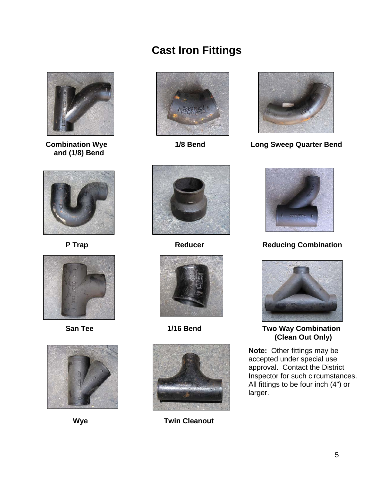#### **Cast Iron Fittings**



 **and (1/8) Bend** 











 **Combination Wye 1/8 Bend Long Sweep Quarter Bend** 







**Wye Twin Cleanout** 



P Trap **Reducer** Reducer Reducing Combination



San Tee **1/16 Bend** Two Way Combination  **(Clean Out Only)** 

**Note:** Other fittings may be accepted under special use approval. Contact the District Inspector for such circumstances. All fittings to be four inch (4") or larger.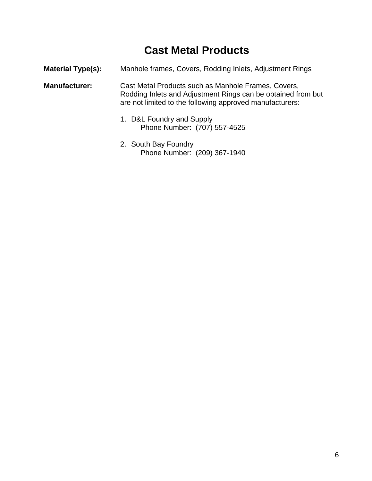## **Cast Metal Products**

| <b>Material Type(s):</b> | Manhole frames, Covers, Rodding Inlets, Adjustment Rings                                                                                                                        |
|--------------------------|---------------------------------------------------------------------------------------------------------------------------------------------------------------------------------|
| <b>Manufacturer:</b>     | Cast Metal Products such as Manhole Frames, Covers,<br>Rodding Inlets and Adjustment Rings can be obtained from but<br>are not limited to the following approved manufacturers: |
|                          | 1. D&L Foundry and Supply<br>Phone Number: (707) 557-4525                                                                                                                       |

2. South Bay Foundry Phone Number: (209) 367-1940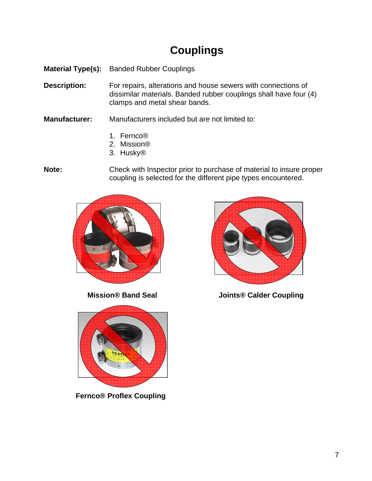## **Couplings**

**Material Type(s):** Banded Rubber Couplings

**Description:** For repairs, alterations and house sewers with connections of dissimilar materials. Banded rubber couplings shall have four (4) clamps and metal shear bands.

**Manufacturer:** Manufacturers included but are not limited to:

- 1. Fernco®
- 2. Mission®
- 3. Husky®

**Note:** Check with Inspector prior to purchase of material to insure proper coupling is selected for the different pipe types encountered.





**Mission® Band Seal 19th Coupling Calder Coupling 19th Coupling** 



 **Fernco® Proflex Coupling**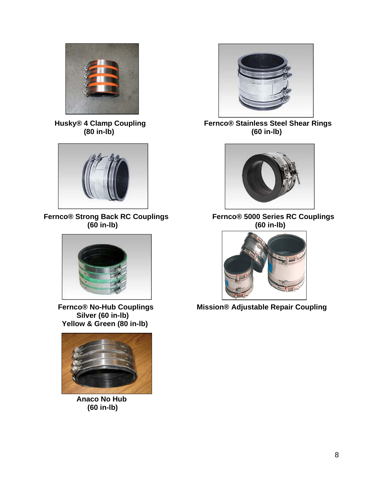

 **(80 in-lb) (60 in-lb)** 



**Fernco® Strong Back RC Couplings Fernco® 5000 Series RC Couplings (60 in-lb) (60 in-lb)** 



**Silver (60 in-lb) Yellow & Green (80 in-lb)** 



**Anaco No Hub (60 in-lb)** 



 **Husky® 4 Clamp Coupling Fernco® Stainless Steel Shear Rings** 





 **Fernco® No-Hub Couplings Mission® Adjustable Repair Coupling**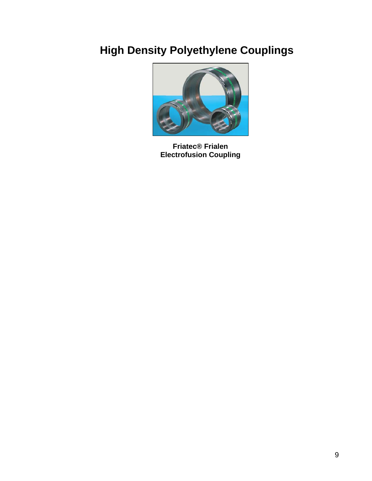## **High Density Polyethylene Couplings**



**Friatec® Frialen Electrofusion Coupling**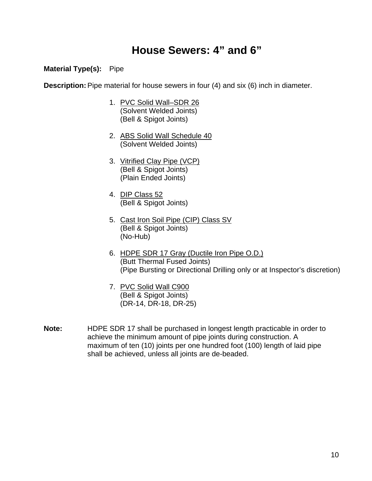#### **House Sewers: 4" and 6"**

#### **Material Type(s):** Pipe

**Description:** Pipe material for house sewers in four (4) and six (6) inch in diameter.

- 1. PVC Solid Wall–SDR 26 (Solvent Welded Joints) (Bell & Spigot Joints)
- 2. ABS Solid Wall Schedule 40 (Solvent Welded Joints)
- 3. Vitrified Clay Pipe (VCP) (Bell & Spigot Joints) (Plain Ended Joints)
- 4. DIP Class 52 (Bell & Spigot Joints)
- 5. Cast Iron Soil Pipe (CIP) Class SV (Bell & Spigot Joints) (No-Hub)
- 6. HDPE SDR 17 Gray (Ductile Iron Pipe O.D.) (Butt Thermal Fused Joints) (Pipe Bursting or Directional Drilling only or at Inspector's discretion)
- 7. PVC Solid Wall C900 (Bell & Spigot Joints) (DR-14, DR-18, DR-25)
- **Note:** HDPE SDR 17 shall be purchased in longest length practicable in order to achieve the minimum amount of pipe joints during construction. A maximum of ten (10) joints per one hundred foot (100) length of laid pipe shall be achieved, unless all joints are de-beaded.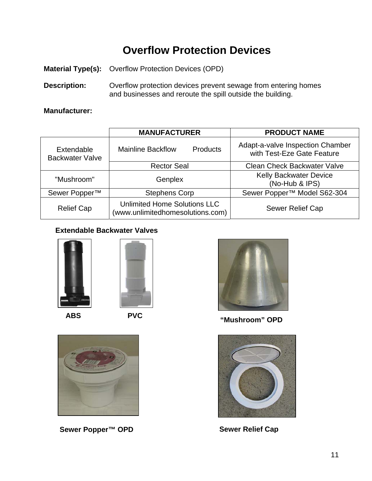## **Overflow Protection Devices**

**Material Type(s):** Overflow Protection Devices (OPD)

**Description:** Overflow protection devices prevent sewage from entering homes and businesses and reroute the spill outside the building.

#### **Manufacturer:**

|                                      | <b>MANUFACTURER</b>                                              | <b>PRODUCT NAME</b>                                            |
|--------------------------------------|------------------------------------------------------------------|----------------------------------------------------------------|
| Extendable<br><b>Backwater Valve</b> | <b>Mainline Backflow</b><br><b>Products</b>                      | Adapt-a-valve Inspection Chamber<br>with Test-Eze Gate Feature |
|                                      | <b>Rector Seal</b>                                               | <b>Clean Check Backwater Valve</b>                             |
| "Mushroom"                           | Genplex                                                          | <b>Kelly Backwater Device</b><br>(No-Hub & IPS)                |
| Sewer Popper <sup>™</sup>            | <b>Stephens Corp</b>                                             | Sewer Popper <sup>™</sup> Model S62-304                        |
| <b>Relief Cap</b>                    | Unlimited Home Solutions LLC<br>(www.unlimitedhomesolutions.com) | <b>Sewer Relief Cap</b>                                        |

#### **Extendable Backwater Valves**







Sewer Popper<sup>™</sup> OPD Sewer Relief Cap



**"Mushroom" OPD**

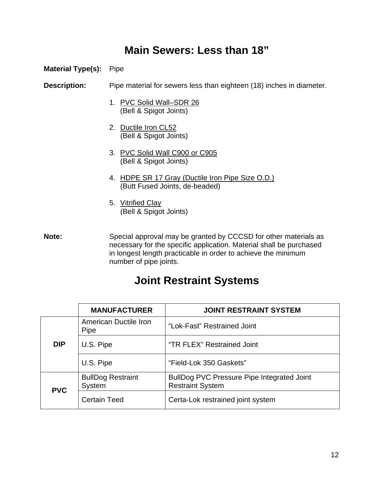#### **Main Sewers: Less than 18"**

#### **Material Type(s):** Pipe

**Description:** Pipe material for sewers less than eighteen (18) inches in diameter.

- 1. PVC Solid Wall–SDR 26 (Bell & Spigot Joints)
- 2. Ductile Iron CL52 (Bell & Spigot Joints)
- 3. PVC Solid Wall C900 or C905 (Bell & Spigot Joints)
- 4. HDPE SR 17 Gray (Ductile Iron Pipe Size O.D.) (Butt Fused Joints, de-beaded)
- 5. Vitrified Clay (Bell & Spigot Joints)

**Note:** Special approval may be granted by CCCSD for other materials as necessary for the specific application. Material shall be purchased in longest length practicable in order to achieve the minimum number of pipe joints.

#### **Joint Restraint Systems**

|            | <b>MANUFACTURER</b>                  | <b>JOINT RESTRAINT SYSTEM</b>                                         |
|------------|--------------------------------------|-----------------------------------------------------------------------|
|            | American Ductile Iron<br><b>Pipe</b> | "Lok-Fast" Restrained Joint                                           |
| <b>DIP</b> | U.S. Pipe                            | "TR FLEX" Restrained Joint                                            |
|            | U.S. Pipe                            | "Field-Lok 350 Gaskets"                                               |
| <b>PVC</b> | <b>BullDog Restraint</b><br>System   | BullDog PVC Pressure Pipe Integrated Joint<br><b>Restraint System</b> |
|            | <b>Certain Teed</b>                  | Certa-Lok restrained joint system                                     |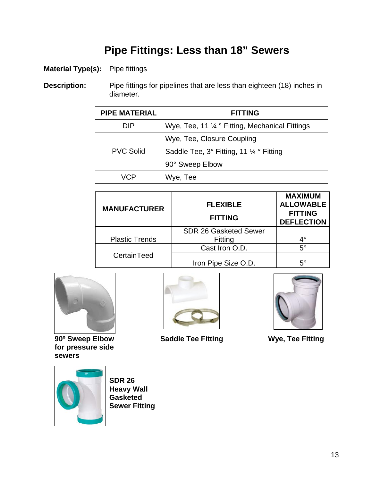## **Pipe Fittings: Less than 18" Sewers**

#### **Material Type(s):** Pipe fittings

**Description:** Pipe fittings for pipelines that are less than eighteen (18) inches in diameter.

| <b>PIPE MATERIAL</b> | <b>FITTING</b>                                  |
|----------------------|-------------------------------------------------|
| DIP                  | Wye, Tee, 11 1/4 ° Fitting, Mechanical Fittings |
|                      | Wye, Tee, Closure Coupling                      |
| <b>PVC Solid</b>     | Saddle Tee, 3° Fitting, 11 1/4 ° Fitting        |
|                      | 90° Sweep Elbow                                 |
| VCP                  | Wye, Tee                                        |

| <b>MANUFACTURER</b>   | <b>FLEXIBLE</b><br><b>FITTING</b> | <b>MAXIMUM</b><br><b>ALLOWABLE</b><br><b>FITTING</b><br><b>DEFLECTION</b> |
|-----------------------|-----------------------------------|---------------------------------------------------------------------------|
|                       | <b>SDR 26 Gasketed Sewer</b>      |                                                                           |
| <b>Plastic Trends</b> | Fitting                           | $4^\circ$                                                                 |
|                       | Cast Iron O.D.                    | $5^{\circ}$                                                               |
| CertainTeed           | Iron Pipe Size O.D.               | $5^{\circ}$                                                               |



 **for pressure side sewers** 



 **90º Sweep Elbow Saddle Tee Fitting Wye, Tee Fitting** 



 **SDR 26 Heavy Wall Gasketed Sewer Fitting**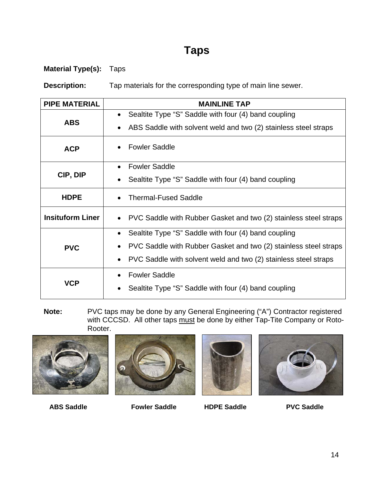### **Taps**

**Material Type(s):** Taps

**Description:** Tap materials for the corresponding type of main line sewer.

| <b>PIPE MATERIAL</b>    | <b>MAINLINE TAP</b>                                                           |  |
|-------------------------|-------------------------------------------------------------------------------|--|
| <b>ABS</b>              | Sealtite Type "S" Saddle with four (4) band coupling<br>$\bullet$             |  |
|                         | ABS Saddle with solvent weld and two (2) stainless steel straps<br>$\bullet$  |  |
| <b>ACP</b>              | <b>Fowler Saddle</b>                                                          |  |
|                         | <b>Fowler Saddle</b><br>$\bullet$                                             |  |
| CIP, DIP                | Sealtite Type "S" Saddle with four (4) band coupling<br>$\bullet$             |  |
| <b>HDPE</b>             | <b>Thermal-Fused Saddle</b>                                                   |  |
| <b>Insituform Liner</b> | PVC Saddle with Rubber Gasket and two (2) stainless steel straps              |  |
|                         | Sealtite Type "S" Saddle with four (4) band coupling<br>$\bullet$             |  |
| <b>PVC</b>              | PVC Saddle with Rubber Gasket and two (2) stainless steel straps<br>$\bullet$ |  |
|                         | PVC Saddle with solvent weld and two (2) stainless steel straps<br>$\bullet$  |  |
|                         | <b>Fowler Saddle</b><br>$\bullet$                                             |  |
| VCP                     | Sealtite Type "S" Saddle with four (4) band coupling                          |  |

**Note:** PVC taps may be done by any General Engineering ("A") Contractor registered with CCCSD. All other taps must be done by either Tap-Tite Company or Roto-Rooter.









 **ABS Saddle Fowler Saddle HDPE Saddle PVC Saddle**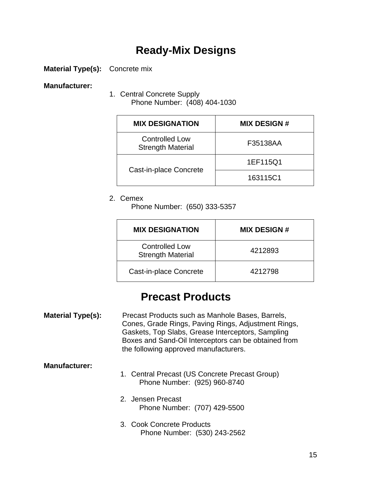#### **Ready-Mix Designs**

**Material Type(s):** Concrete mix

#### **Manufacturer:**

1. Central Concrete Supply Phone Number: (408) 404-1030

| <b>MIX DESIGNATION</b>                            | <b>MIX DESIGN#</b> |
|---------------------------------------------------|--------------------|
| <b>Controlled Low</b><br><b>Strength Material</b> | F35138AA           |
| Cast-in-place Concrete                            | 1EF115Q1           |
|                                                   | 163115C1           |

#### 2. Cemex

Phone Number: (650) 333-5357

| <b>MIX DESIGNATION</b>                            | <b>MIX DESIGN #</b> |
|---------------------------------------------------|---------------------|
| <b>Controlled Low</b><br><b>Strength Material</b> | 4212893             |
| Cast-in-place Concrete                            | 4212798             |

#### **Precast Products**

**Material Type(s):** Precast Products such as Manhole Bases, Barrels, Cones, Grade Rings, Paving Rings, Adjustment Rings, Gaskets, Top Slabs, Grease Interceptors, Sampling Boxes and Sand-Oil Interceptors can be obtained from the following approved manufacturers.

#### **Manufacturer:**

- 1. Central Precast (US Concrete Precast Group) Phone Number: (925) 960-8740
- 2. Jensen Precast Phone Number: (707) 429-5500
- 3. Cook Concrete Products Phone Number: (530) 243-2562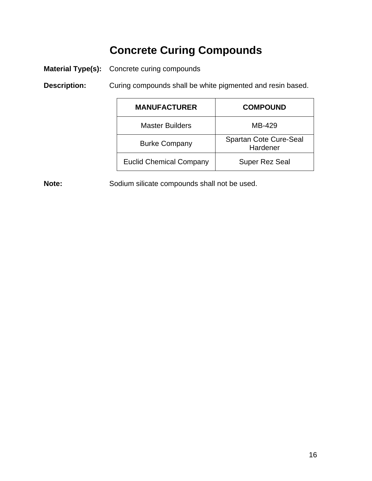## **Concrete Curing Compounds**

**Material Type(s):** Concrete curing compounds

**Description:** Curing compounds shall be white pigmented and resin based.

| <b>MANUFACTURER</b>            | <b>COMPOUND</b>                    |
|--------------------------------|------------------------------------|
| <b>Master Builders</b>         | MB-429                             |
| <b>Burke Company</b>           | Spartan Cote Cure-Seal<br>Hardener |
| <b>Euclid Chemical Company</b> | <b>Super Rez Seal</b>              |

Note: Sodium silicate compounds shall not be used.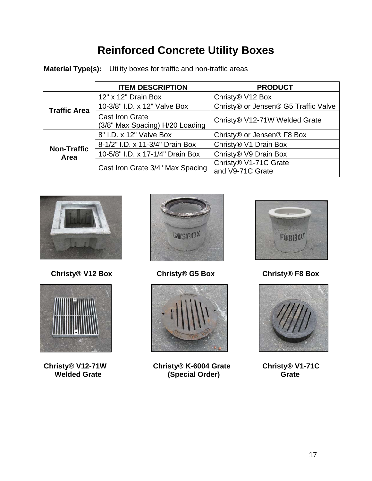## **Reinforced Concrete Utility Boxes**

**Material Type(s):** Utility boxes for traffic and non-traffic areas

|                            | <b>ITEM DESCRIPTION</b>                                   | <b>PRODUCT</b>                            |
|----------------------------|-----------------------------------------------------------|-------------------------------------------|
| <b>Traffic Area</b>        | 12" x 12" Drain Box                                       | Christy® V12 Box                          |
|                            | 10-3/8" I.D. x 12" Valve Box                              | Christy® or Jensen® G5 Traffic Valve      |
|                            | <b>Cast Iron Grate</b><br>(3/8" Max Spacing) H/20 Loading | Christy® V12-71W Welded Grate             |
| <b>Non-Traffic</b><br>Area | 8" I.D. x 12" Valve Box                                   | Christy® or Jensen® F8 Box                |
|                            | 8-1/2" I.D. x 11-3/4" Drain Box                           | Christy® V1 Drain Box                     |
|                            | 10-5/8" I.D. x 17-1/4" Drain Box                          | Christy® V9 Drain Box                     |
|                            | Cast Iron Grate 3/4" Max Spacing                          | Christy® V1-71C Grate<br>and V9-71C Grate |



 **Christy® V12 Box Christy® G5 Box Christy® F8 Box** 



Christy® V12-71W<br>Welded Grate





**Christy® V12-71W Christy® K-6004 Grate Christy® V1-71C The Welded Grate Contract Contract Contract Contract Contract Contract Contract Contract Contract Contract Contract Contract Contract Contract Contract Contract Contract Contract Contract Contract Contract Contract Contra** 



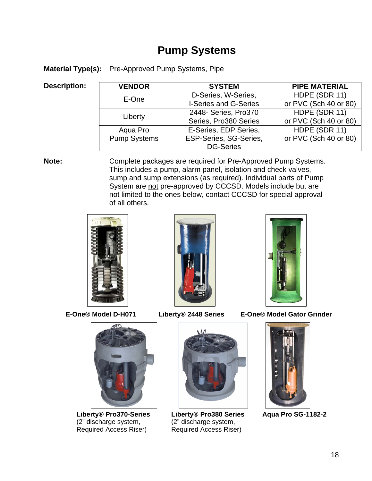#### **Pump Systems**

**Material Type(s):** Pre-Approved Pump Systems, Pipe

#### **Description:**

| <b>VENDOR</b>       | <b>SYSTEM</b>                | <b>PIPE MATERIAL</b>  |
|---------------------|------------------------------|-----------------------|
| E-One               | D-Series, W-Series,          | HDPE (SDR 11)         |
|                     | <b>I-Series and G-Series</b> | or PVC (Sch 40 or 80) |
|                     | 2448- Series, Pro370         | HDPE (SDR 11)         |
| Liberty             | Series, Pro380 Series        | or PVC (Sch 40 or 80) |
| Aqua Pro            | E-Series, EDP Series,        | HDPE (SDR 11)         |
| <b>Pump Systems</b> | ESP-Series, SG-Series,       | or PVC (Sch 40 or 80) |
|                     | <b>DG-Series</b>             |                       |

**Note:** Complete packages are required for Pre-Approved Pump Systems. This includes a pump, alarm panel, isolation and check valves, sump and sump extensions (as required). Individual parts of Pump System are not pre-approved by CCCSD. Models include but are not limited to the ones below, contact CCCSD for special approval of all others.







Liberty® Pro370-Series Liberty® Pro380 Series Aqua Pro SG-1182-2<br>(2" discharge system, (2" discharge system, (2" discharge system, <br>
Required Access Riser) Required Access Rise





Required Access Riser) Required Access Riser)



 **E-One® Model D-H071 Liberty® 2448 Series E-One® Model Gator Grinder** 

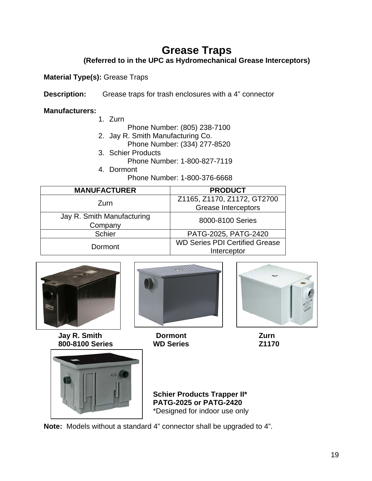## **Grease Traps**

**(Referred to in the UPC as Hydromechanical Grease Interceptors)** 

**Material Type(s):** Grease Traps

**Description:** Grease traps for trash enclosures with a 4" connector

#### **Manufacturers:**

- 1. Zurn
	- Phone Number: (805) 238-7100
- 2. Jay R. Smith Manufacturing Co.
	- Phone Number: (334) 277-8520
- 3. Schier Products
	- Phone Number: 1-800-827-7119
- 4. Dormont Phone Number: 1-800-376-6668

| <b>MANUFACTURER</b>                   | <b>PRODUCT</b>                                            |
|---------------------------------------|-----------------------------------------------------------|
| Zurn                                  | Z1165, Z1170, Z1172, GT2700<br><b>Grease Interceptors</b> |
| Jay R. Smith Manufacturing<br>Company | 8000-8100 Series                                          |
| <b>Schier</b>                         | PATG-2025, PATG-2420                                      |
| Dormont                               | <b>WD Series PDI Certified Grease</b><br>Interceptor      |





**Jay R. Smith Commont Curn 2011** 

 **800-8100 Series WD Series Z1170** 



 **Schier Products Trapper II\* PATG-2025 or PATG-2420**  \*Designed for indoor use only

**Note:** Models without a standard 4" connector shall be upgraded to 4".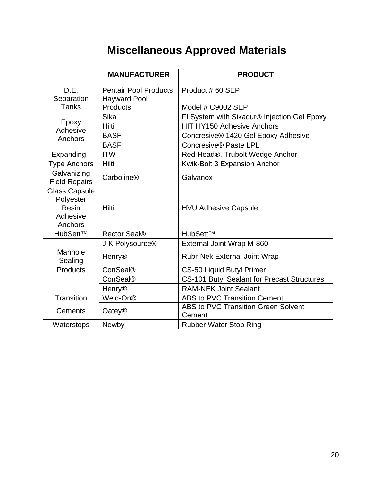## **Miscellaneous Approved Materials**

|                                                                   | <b>MANUFACTURER</b>          | <b>PRODUCT</b>                                       |
|-------------------------------------------------------------------|------------------------------|------------------------------------------------------|
| D.E.                                                              | <b>Pentair Pool Products</b> | Product #60 SEP                                      |
| Separation                                                        | <b>Hayward Pool</b>          |                                                      |
| <b>Tanks</b>                                                      | <b>Products</b>              | Model # C9002 SEP                                    |
|                                                                   | Sika                         | FI System with Sikadur® Injection Gel Epoxy          |
| Epoxy<br>Adhesive                                                 | Hilti                        | <b>HIT HY150 Adhesive Anchors</b>                    |
| Anchors                                                           | <b>BASF</b>                  | Concresive® 1420 Gel Epoxy Adhesive                  |
|                                                                   | <b>BASF</b>                  | Concresive® Paste LPL                                |
| Expanding -                                                       | <b>ITW</b>                   | Red Head®, Trubolt Wedge Anchor                      |
| <b>Type Anchors</b>                                               | Hilti                        | Kwik-Bolt 3 Expansion Anchor                         |
| Galvanizing                                                       | Carboline®                   | Galvanox                                             |
| <b>Field Repairs</b>                                              |                              |                                                      |
| <b>Glass Capsule</b><br>Polyester<br>Resin<br>Adhesive<br>Anchors | Hilti                        | <b>HVU Adhesive Capsule</b>                          |
| HubSett™                                                          | Rector Seal <sup>®</sup>     | HubSett™                                             |
|                                                                   | J-K Polysource <sup>®</sup>  | External Joint Wrap M-860                            |
| Manhole<br>Sealing                                                | <b>Henry®</b>                | <b>Rubr-Nek External Joint Wrap</b>                  |
| Products                                                          | ConSeal®                     | <b>CS-50 Liquid Butyl Primer</b>                     |
|                                                                   | ConSeal®                     | <b>CS-101 Butyl Sealant for Precast Structures</b>   |
|                                                                   | <b>Henry®</b>                | <b>RAM-NEK Joint Sealant</b>                         |
| Transition                                                        | Weld-On <sup>®</sup>         | ABS to PVC Transition Cement                         |
| Cements                                                           | <b>Oatey®</b>                | <b>ABS to PVC Transition Green Solvent</b><br>Cement |
| Waterstops                                                        | Newby                        | <b>Rubber Water Stop Ring</b>                        |